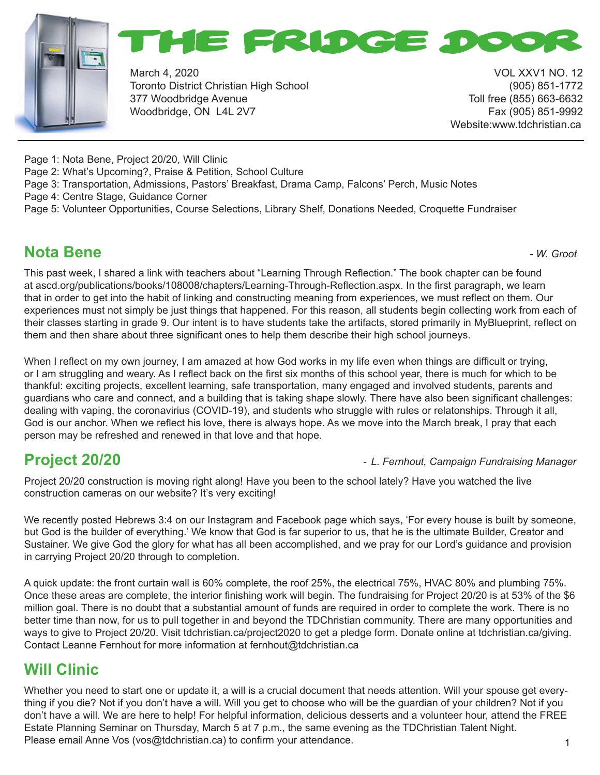



March 4, 2020 VOL XXV1 NO. 12 Toronto District Christian High School (905) 851-1772 377 Woodbridge Avenue Toll free (855) 663-6632 Woodbridge, ON L4L 2V7 Fax (905) 851-9992

Website:www.tdchristian.ca

Page 1: Nota Bene, Project 20/20, Will Clinic

Page 2: What's Upcoming?, Praise & Petition, School Culture

Page 3: Transportation, Admissions, Pastors' Breakfast, Drama Camp, Falcons' Perch, Music Notes

Page 4: Centre Stage, Guidance Corner

Page 5: Volunteer Opportunities, Course Selections, Library Shelf, Donations Needed, Croquette Fundraiser

## **Nota Bene** *- W. Groot*

This past week, I shared a link with teachers about "Learning Through Reflection." The book chapter can be found at ascd.org/publications/books/108008/chapters/Learning-Through-Reflection.aspx. In the first paragraph, we learn that in order to get into the habit of linking and constructing meaning from experiences, we must reflect on them. Our experiences must not simply be just things that happened. For this reason, all students begin collecting work from each of their classes starting in grade 9. Our intent is to have students take the artifacts, stored primarily in MyBlueprint, reflect on them and then share about three significant ones to help them describe their high school journeys.

When I reflect on my own journey, I am amazed at how God works in my life even when things are difficult or trying, or I am struggling and weary. As I reflect back on the first six months of this school year, there is much for which to be thankful: exciting projects, excellent learning, safe transportation, many engaged and involved students, parents and guardians who care and connect, and a building that is taking shape slowly. There have also been significant challenges: dealing with vaping, the coronavirius (COVID-19), and students who struggle with rules or relatonships. Through it all, God is our anchor. When we reflect his love, there is always hope. As we move into the March break, I pray that each person may be refreshed and renewed in that love and that hope.

#### **Project 20/20 -** *L. Fernhout, Campaign Fundraising Manager*

Project 20/20 construction is moving right along! Have you been to the school lately? Have you watched the live construction cameras on our website? It's very exciting!

We recently posted Hebrews 3:4 on our Instagram and Facebook page which says, 'For every house is built by someone, but God is the builder of everything.' We know that God is far superior to us, that he is the ultimate Builder, Creator and Sustainer. We give God the glory for what has all been accomplished, and we pray for our Lord's guidance and provision in carrying Project 20/20 through to completion.

A quick update: the front curtain wall is 60% complete, the roof 25%, the electrical 75%, HVAC 80% and plumbing 75%. Once these areas are complete, the interior finishing work will begin. The fundraising for Project 20/20 is at 53% of the \$6 million goal. There is no doubt that a substantial amount of funds are required in order to complete the work. There is no better time than now, for us to pull together in and beyond the TDChristian community. There are many opportunities and ways to give to Project 20/20. Visit tdchristian.ca/project2020 to get a pledge form. Donate online at tdchristian.ca/giving. Contact Leanne Fernhout for more information at fernhout@tdchristian.ca

## **Will Clinic**

1 Whether you need to start one or update it, a will is a crucial document that needs attention. Will your spouse get everything if you die? Not if you don't have a will. Will you get to choose who will be the guardian of your children? Not if you don't have a will. We are here to help! For helpful information, delicious desserts and a volunteer hour, attend the FREE Estate Planning Seminar on Thursday, March 5 at 7 p.m., the same evening as the TDChristian Talent Night. Please email Anne Vos (vos@tdchristian.ca) to confirm your attendance.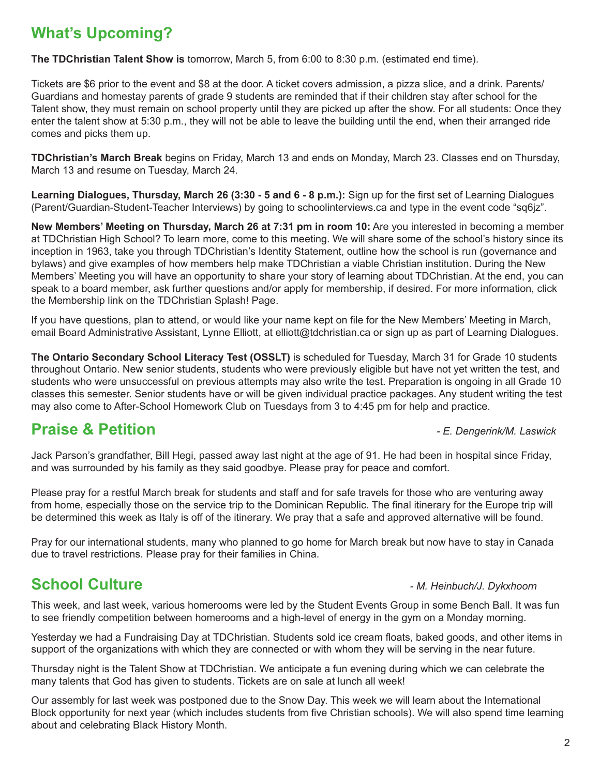# **What's Upcoming?**

**The TDChristian Talent Show is** tomorrow, March 5, from 6:00 to 8:30 p.m. (estimated end time).

Tickets are \$6 prior to the event and \$8 at the door. A ticket covers admission, a pizza slice, and a drink. Parents/ Guardians and homestay parents of grade 9 students are reminded that if their children stay after school for the Talent show, they must remain on school property until they are picked up after the show. For all students: Once they enter the talent show at 5:30 p.m., they will not be able to leave the building until the end, when their arranged ride comes and picks them up.

**TDChristian's March Break** begins on Friday, March 13 and ends on Monday, March 23. Classes end on Thursday, March 13 and resume on Tuesday, March 24.

**Learning Dialogues, Thursday, March 26 (3:30 - 5 and 6 - 8 p.m.):** Sign up for the first set of Learning Dialogues (Parent/Guardian-Student-Teacher Interviews) by going to schoolinterviews.ca and type in the event code "sq6jz".

**New Members' Meeting on Thursday, March 26 at 7:31 pm in room 10:** Are you interested in becoming a member at TDChristian High School? To learn more, come to this meeting. We will share some of the school's history since its inception in 1963, take you through TDChristian's Identity Statement, outline how the school is run (governance and bylaws) and give examples of how members help make TDChristian a viable Christian institution. During the New Members' Meeting you will have an opportunity to share your story of learning about TDChristian. At the end, you can speak to a board member, ask further questions and/or apply for membership, if desired. For more information, click the Membership link on the TDChristian Splash! Page.

If you have questions, plan to attend, or would like your name kept on file for the New Members' Meeting in March, email Board Administrative Assistant, Lynne Elliott, at elliott@tdchristian.ca or sign up as part of Learning Dialogues.

**The Ontario Secondary School Literacy Test (OSSLT)** is scheduled for Tuesday, March 31 for Grade 10 students throughout Ontario. New senior students, students who were previously eligible but have not yet written the test, and students who were unsuccessful on previous attempts may also write the test. Preparation is ongoing in all Grade 10 classes this semester. Senior students have or will be given individual practice packages. Any student writing the test may also come to After-School Homework Club on Tuesdays from 3 to 4:45 pm for help and practice.

## **Praise & Petition** *- E. Dengerink/M. Laswick*

Jack Parson's grandfather, Bill Hegi, passed away last night at the age of 91. He had been in hospital since Friday, and was surrounded by his family as they said goodbye. Please pray for peace and comfort.

Please pray for a restful March break for students and staff and for safe travels for those who are venturing away from home, especially those on the service trip to the Dominican Republic. The final itinerary for the Europe trip will be determined this week as Italy is off of the itinerary. We pray that a safe and approved alternative will be found.

Pray for our international students, many who planned to go home for March break but now have to stay in Canada due to travel restrictions. Please pray for their families in China.

# **School Culture** *Culture <b>School* Culture *Participally <i>M. Heinbuch/J. Dykxhoorn*

This week, and last week, various homerooms were led by the Student Events Group in some Bench Ball. It was fun to see friendly competition between homerooms and a high-level of energy in the gym on a Monday morning.

Yesterday we had a Fundraising Day at TDChristian. Students sold ice cream floats, baked goods, and other items in support of the organizations with which they are connected or with whom they will be serving in the near future.

Thursday night is the Talent Show at TDChristian. We anticipate a fun evening during which we can celebrate the many talents that God has given to students. Tickets are on sale at lunch all week!

Our assembly for last week was postponed due to the Snow Day. This week we will learn about the International Block opportunity for next year (which includes students from five Christian schools). We will also spend time learning about and celebrating Black History Month.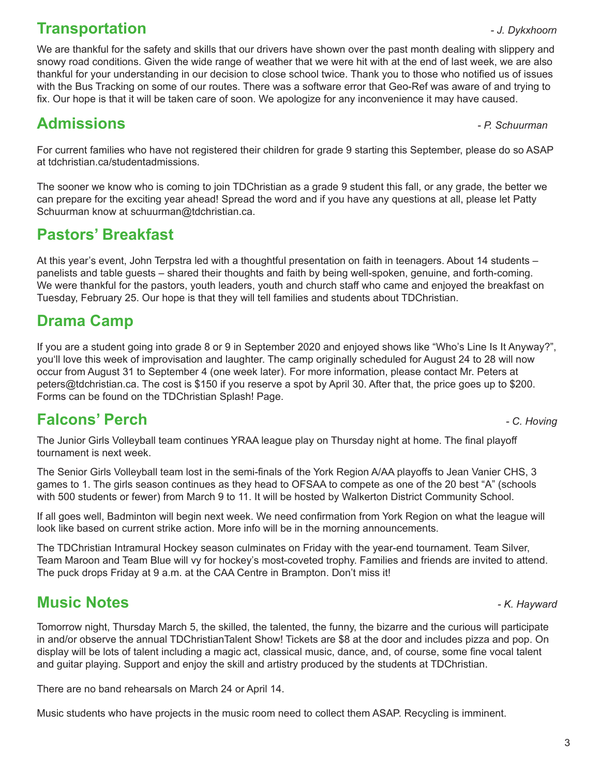# **Transportation** *- J. Dykxhoorn*

We are thankful for the safety and skills that our drivers have shown over the past month dealing with slippery and snowy road conditions. Given the wide range of weather that we were hit with at the end of last week, we are also thankful for your understanding in our decision to close school twice. Thank you to those who notified us of issues with the Bus Tracking on some of our routes. There was a software error that Geo-Ref was aware of and trying to fix. Our hope is that it will be taken care of soon. We apologize for any inconvenience it may have caused.

# **Admissions** *- P. Schuurman*

For current families who have not registered their children for grade 9 starting this September, please do so ASAP at tdchristian.ca/studentadmissions.

The sooner we know who is coming to join TDChristian as a grade 9 student this fall, or any grade, the better we can prepare for the exciting year ahead! Spread the word and if you have any questions at all, please let Patty Schuurman know at schuurman@tdchristian.ca.

## **Pastors' Breakfast**

At this year's event, John Terpstra led with a thoughtful presentation on faith in teenagers. About 14 students – panelists and table guests – shared their thoughts and faith by being well-spoken, genuine, and forth-coming. We were thankful for the pastors, youth leaders, youth and church staff who came and enjoyed the breakfast on Tuesday, February 25. Our hope is that they will tell families and students about TDChristian.

# **Drama Camp**

If you are a student going into grade 8 or 9 in September 2020 and enjoyed shows like "Who's Line Is It Anyway?", you'll love this week of improvisation and laughter. The camp originally scheduled for August 24 to 28 will now occur from August 31 to September 4 (one week later). For more information, please contact Mr. Peters at peters@tdchristian.ca. The cost is \$150 if you reserve a spot by April 30. After that, the price goes up to \$200. Forms can be found on the TDChristian Splash! Page.

## **Falcons' Perch** *- C. Hoving*

The Junior Girls Volleyball team continues YRAA league play on Thursday night at home. The final playoff tournament is next week.

The Senior Girls Volleyball team lost in the semi-finals of the York Region A/AA playoffs to Jean Vanier CHS, 3 games to 1. The girls season continues as they head to OFSAA to compete as one of the 20 best "A" (schools with 500 students or fewer) from March 9 to 11. It will be hosted by Walkerton District Community School.

If all goes well, Badminton will begin next week. We need confirmation from York Region on what the league will look like based on current strike action. More info will be in the morning announcements.

The TDChristian Intramural Hockey season culminates on Friday with the year-end tournament. Team Silver, Team Maroon and Team Blue will vy for hockey's most-coveted trophy. Families and friends are invited to attend. The puck drops Friday at 9 a.m. at the CAA Centre in Brampton. Don't miss it!

# **Music Notes** *- K. Hayward*

Tomorrow night, Thursday March 5, the skilled, the talented, the funny, the bizarre and the curious will participate in and/or observe the annual TDChristianTalent Show! Tickets are \$8 at the door and includes pizza and pop. On display will be lots of talent including a magic act, classical music, dance, and, of course, some fine vocal talent and guitar playing. Support and enjoy the skill and artistry produced by the students at TDChristian.

There are no band rehearsals on March 24 or April 14.

Music students who have projects in the music room need to collect them ASAP. Recycling is imminent.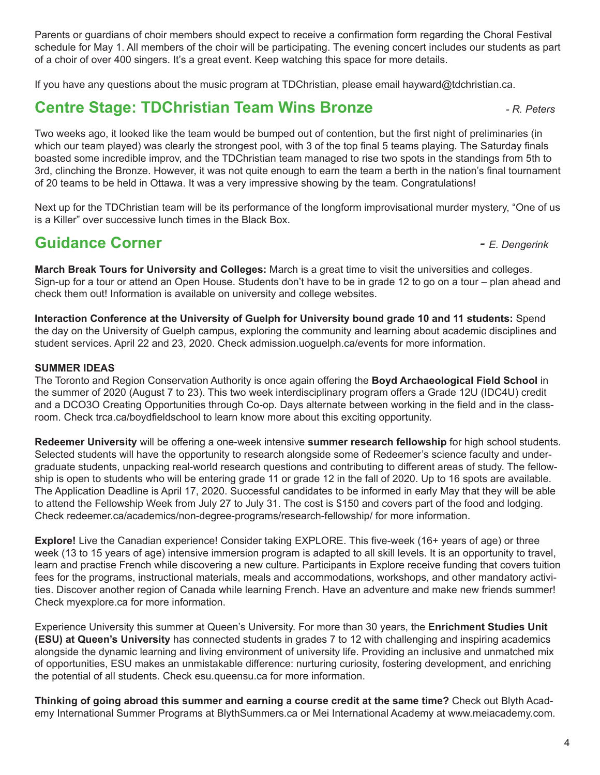Parents or guardians of choir members should expect to receive a confirmation form regarding the Choral Festival schedule for May 1. All members of the choir will be participating. The evening concert includes our students as part of a choir of over 400 singers. It's a great event. Keep watching this space for more details.

If you have any questions about the music program at TDChristian, please email hayward@tdchristian.ca.

#### **Centre Stage: TDChristian Team Wins Bronze** *- R. Peters*

Two weeks ago, it looked like the team would be bumped out of contention, but the first night of preliminaries (in which our team played) was clearly the strongest pool, with 3 of the top final 5 teams playing. The Saturday finals boasted some incredible improv, and the TDChristian team managed to rise two spots in the standings from 5th to 3rd, clinching the Bronze. However, it was not quite enough to earn the team a berth in the nation's final tournament of 20 teams to be held in Ottawa. It was a very impressive showing by the team. Congratulations!

Next up for the TDChristian team will be its performance of the longform improvisational murder mystery, "One of us is a Killer" over successive lunch times in the Black Box.

# **Guidance Corner** *- E. Dengerink*

**March Break Tours for University and Colleges:** March is a great time to visit the universities and colleges. Sign-up for a tour or attend an Open House. Students don't have to be in grade 12 to go on a tour – plan ahead and check them out! Information is available on university and college websites.

**Interaction Conference at the University of Guelph for University bound grade 10 and 11 students:** Spend the day on the University of Guelph campus, exploring the community and learning about academic disciplines and student services. April 22 and 23, 2020. Check admission.uoguelph.ca/events for more information.

#### **SUMMER IDEAS**

The Toronto and Region Conservation Authority is once again offering the **Boyd Archaeological Field School** in the summer of 2020 (August 7 to 23). This two week interdisciplinary program offers a Grade 12U (IDC4U) credit and a DCO3O Creating Opportunities through Co-op. Days alternate between working in the field and in the classroom. Check trca.ca/boydfieldschool to learn know more about this exciting opportunity.

**Redeemer University** will be offering a one-week intensive **summer research fellowship** for high school students. Selected students will have the opportunity to research alongside some of Redeemer's science faculty and undergraduate students, unpacking real-world research questions and contributing to different areas of study. The fellowship is open to students who will be entering grade 11 or grade 12 in the fall of 2020. Up to 16 spots are available. The Application Deadline is April 17, 2020. Successful candidates to be informed in early May that they will be able to attend the Fellowship Week from July 27 to July 31. The cost is \$150 and covers part of the food and lodging. Check redeemer.ca/academics/non-degree-programs/research-fellowship/ for more information.

**Explore!** Live the Canadian experience! Consider taking EXPLORE. This five-week (16+ years of age) or three week (13 to 15 years of age) intensive immersion program is adapted to all skill levels. It is an opportunity to travel, learn and practise French while discovering a new culture. Participants in Explore receive funding that covers tuition fees for the programs, instructional materials, meals and accommodations, workshops, and other mandatory activities. Discover another region of Canada while learning French. Have an adventure and make new friends summer! Check myexplore.ca for more information.

Experience University this summer at Queen's University. For more than 30 years, the **Enrichment Studies Unit (ESU) at Queen's University** has connected students in grades 7 to 12 with challenging and inspiring academics alongside the dynamic learning and living environment of university life. Providing an inclusive and unmatched mix of opportunities, ESU makes an unmistakable difference: nurturing curiosity, fostering development, and enriching the potential of all students. Check esu.queensu.ca for more information.

**Thinking of going abroad this summer and earning a course credit at the same time?** Check out Blyth Academy International Summer Programs at BlythSummers.ca or Mei International Academy at www.meiacademy.com.